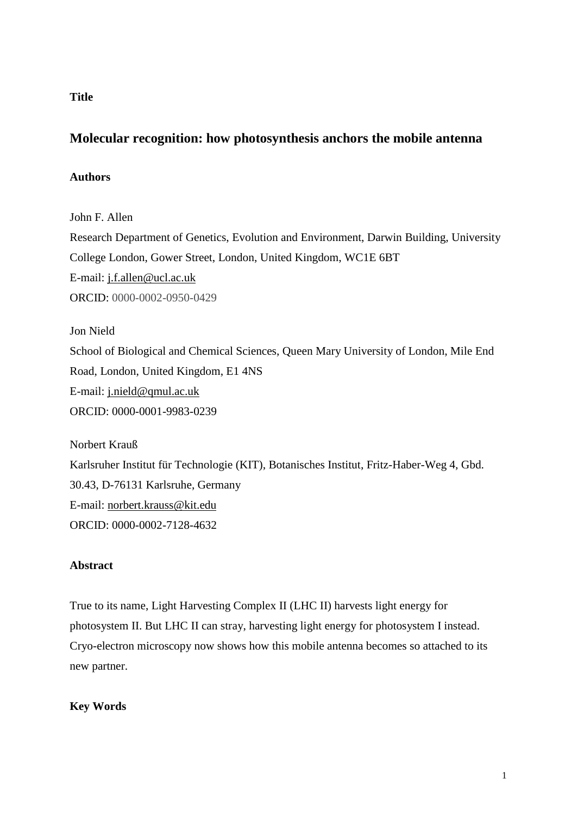## **Title**

# **Molecular recognition: how photosynthesis anchors the mobile antenna**

## **Authors**

John F. Allen

Research Department of Genetics, Evolution and Environment, Darwin Building, University College London, Gower Street, London, United Kingdom, WC1E 6BT E-mail: j.f.allen@ucl.ac.uk ORCID: 0000-0002-0950-0429

Jon Nield School of Biological and Chemical Sciences, Queen Mary University of London, Mile End Road, London, United Kingdom, E1 4NS E-mail: j.nield@qmul.ac.uk ORCID: 0000-0001-9983-0239

Norbert Krauß Karlsruher Institut für Technologie (KIT), Botanisches Institut, Fritz-Haber-Weg 4, Gbd. 30.43, D-76131 Karlsruhe, Germany E-mail: norbert.krauss@kit.edu ORCID: 0000-0002-7128-4632

## **Abstract**

True to its name, Light Harvesting Complex II (LHC II) harvests light energy for photosystem II. But LHC II can stray, harvesting light energy for photosystem I instead. Cryo-electron microscopy now shows how this mobile antenna becomes so attached to its new partner.

## **Key Words**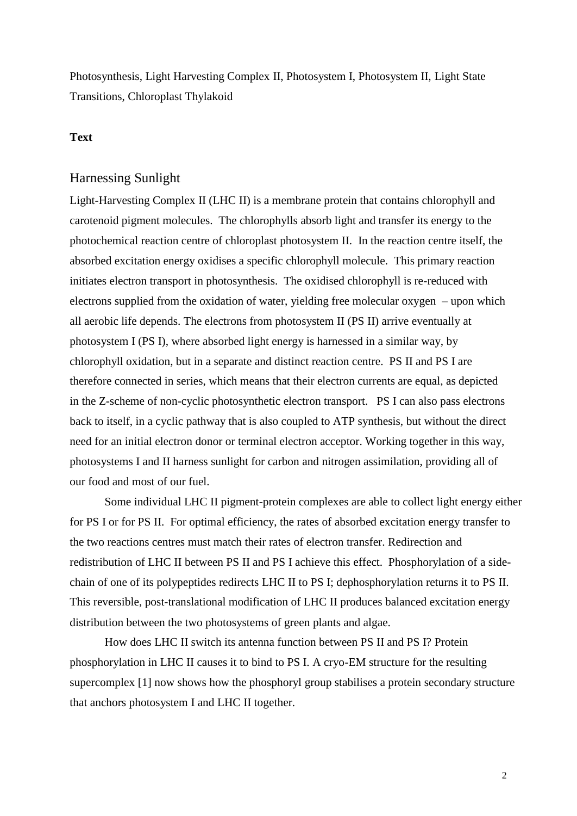Photosynthesis, Light Harvesting Complex II, Photosystem I, Photosystem II, Light State Transitions, Chloroplast Thylakoid

## **Text**

## Harnessing Sunlight

Light-Harvesting Complex II (LHC II) is a membrane protein that contains chlorophyll and carotenoid pigment molecules. The chlorophylls absorb light and transfer its energy to the photochemical reaction centre of chloroplast photosystem II. In the reaction centre itself, the absorbed excitation energy oxidises a specific chlorophyll molecule. This primary reaction initiates electron transport in photosynthesis. The oxidised chlorophyll is re-reduced with electrons supplied from the oxidation of water, yielding free molecular oxygen – upon which all aerobic life depends. The electrons from photosystem II (PS II) arrive eventually at photosystem I (PS I), where absorbed light energy is harnessed in a similar way, by chlorophyll oxidation, but in a separate and distinct reaction centre. PS II and PS I are therefore connected in series, which means that their electron currents are equal, as depicted in the Z-scheme of non-cyclic photosynthetic electron transport. PS I can also pass electrons back to itself, in a cyclic pathway that is also coupled to ATP synthesis, but without the direct need for an initial electron donor or terminal electron acceptor. Working together in this way, photosystems I and II harness sunlight for carbon and nitrogen assimilation, providing all of our food and most of our fuel.

Some individual LHC II pigment-protein complexes are able to collect light energy either for PS I or for PS II. For optimal efficiency, the rates of absorbed excitation energy transfer to the two reactions centres must match their rates of electron transfer. Redirection and redistribution of LHC II between PS II and PS I achieve this effect. Phosphorylation of a sidechain of one of its polypeptides redirects LHC II to PS I; dephosphorylation returns it to PS II. This reversible, post-translational modification of LHC II produces balanced excitation energy distribution between the two photosystems of green plants and algae.

How does LHC II switch its antenna function between PS II and PS I? Protein phosphorylation in LHC II causes it to bind to PS I. A cryo-EM structure for the resulting supercomplex [\[1\]](#page-5-0) now shows how the phosphoryl group stabilises a protein secondary structure that anchors photosystem I and LHC II together.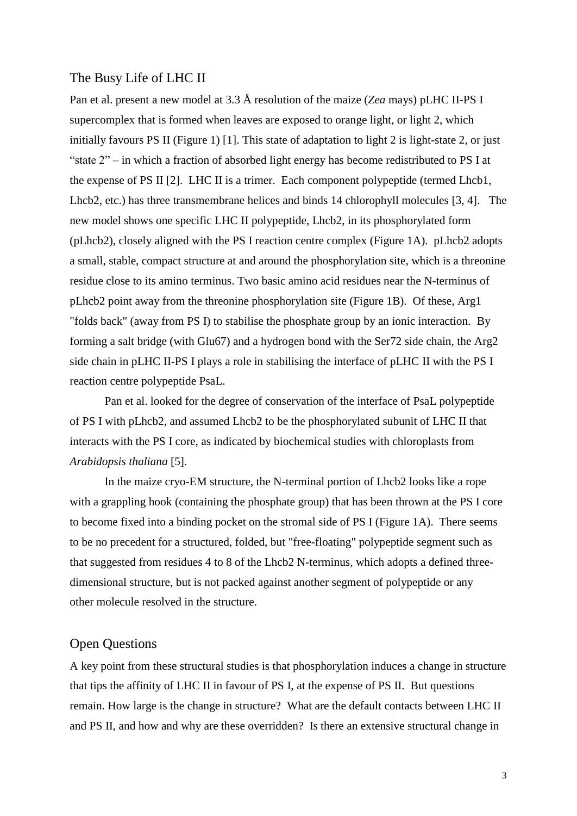#### The Busy Life of LHC II

Pan et al. present a new model at 3.3 Å resolution of the maize (*Zea* mays) pLHC II-PS I supercomplex that is formed when leaves are exposed to orange light, or light 2, which initially favours PS II (Figure 1) [\[1\]](#page-5-0). This state of adaptation to light 2 is light-state 2, or just "state 2" – in which a fraction of absorbed light energy has become redistributed to PS I at the expense of PS II [\[2\]](#page-5-1). LHC II is a trimer. Each component polypeptide (termed Lhcb1, Lhcb2, etc.) has three transmembrane helices and binds 14 chlorophyll molecules [\[3,](#page-5-2) [4\]](#page-5-3). The new model shows one specific LHC II polypeptide, Lhcb2, in its phosphorylated form (pLhcb2), closely aligned with the PS I reaction centre complex (Figure 1A). pLhcb2 adopts a small, stable, compact structure at and around the phosphorylation site, which is a threonine residue close to its amino terminus. Two basic amino acid residues near the N-terminus of pLhcb2 point away from the threonine phosphorylation site (Figure 1B). Of these, Arg1 "folds back" (away from PS I) to stabilise the phosphate group by an ionic interaction. By forming a salt bridge (with Glu67) and a hydrogen bond with the Ser72 side chain, the Arg2 side chain in pLHC II-PS I plays a role in stabilising the interface of pLHC II with the PS I reaction centre polypeptide PsaL.

Pan et al. looked for the degree of conservation of the interface of PsaL polypeptide of PS I with pLhcb2, and assumed Lhcb2 to be the phosphorylated subunit of LHC II that interacts with the PS I core, as indicated by biochemical studies with chloroplasts from *Arabidopsis thaliana* [\[5\]](#page-5-4).

In the maize cryo-EM structure, the N-terminal portion of Lhcb2 looks like a rope with a grappling hook (containing the phosphate group) that has been thrown at the PS I core to become fixed into a binding pocket on the stromal side of PS I (Figure 1A). There seems to be no precedent for a structured, folded, but "free-floating" polypeptide segment such as that suggested from residues 4 to 8 of the Lhcb2 N-terminus, which adopts a defined threedimensional structure, but is not packed against another segment of polypeptide or any other molecule resolved in the structure.

## Open Questions

A key point from these structural studies is that phosphorylation induces a change in structure that tips the affinity of LHC II in favour of PS I, at the expense of PS II. But questions remain. How large is the change in structure? What are the default contacts between LHC II and PS II, and how and why are these overridden? Is there an extensive structural change in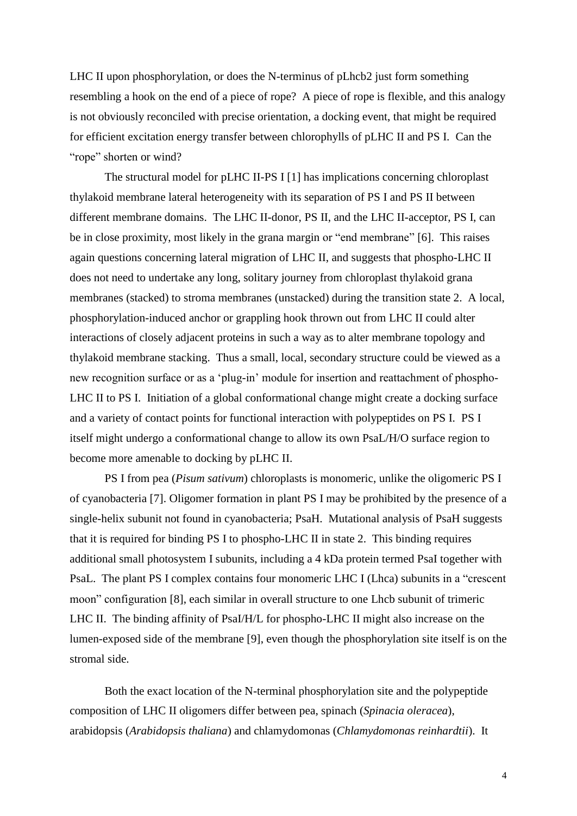LHC II upon phosphorylation, or does the N-terminus of pLhcb2 just form something resembling a hook on the end of a piece of rope? A piece of rope is flexible, and this analogy is not obviously reconciled with precise orientation, a docking event, that might be required for efficient excitation energy transfer between chlorophylls of pLHC II and PS I. Can the "rope" shorten or wind?

The structural model for pLHC II-PS I [\[1\]](#page-5-0) has implications concerning chloroplast thylakoid membrane lateral heterogeneity with its separation of PS I and PS II between different membrane domains. The LHC II-donor, PS II, and the LHC II-acceptor, PS I, can be in close proximity, most likely in the grana margin or "end membrane" [\[6\]](#page-5-5). This raises again questions concerning lateral migration of LHC II, and suggests that phospho-LHC II does not need to undertake any long, solitary journey from chloroplast thylakoid grana membranes (stacked) to stroma membranes (unstacked) during the transition state 2. A local, phosphorylation-induced anchor or grappling hook thrown out from LHC II could alter interactions of closely adjacent proteins in such a way as to alter membrane topology and thylakoid membrane stacking. Thus a small, local, secondary structure could be viewed as a new recognition surface or as a 'plug-in' module for insertion and reattachment of phospho-LHC II to PS I. Initiation of a global conformational change might create a docking surface and a variety of contact points for functional interaction with polypeptides on PS I. PS I itself might undergo a conformational change to allow its own PsaL/H/O surface region to become more amenable to docking by pLHC II.

PS I from pea (*Pisum sativum*) chloroplasts is monomeric, unlike the oligomeric PS I of cyanobacteria [\[7\]](#page-5-6). Oligomer formation in plant PS I may be prohibited by the presence of a single-helix subunit not found in cyanobacteria; PsaH. Mutational analysis of PsaH suggests that it is required for binding PS I to phospho-LHC II in state 2. This binding requires additional small photosystem I subunits, including a 4 kDa protein termed PsaI together with PsaL. The plant PS I complex contains four monomeric LHC I (Lhca) subunits in a "crescent moon" configuration [\[8\]](#page-5-7), each similar in overall structure to one Lhcb subunit of trimeric LHC II. The binding affinity of PsaI/H/L for phospho-LHC II might also increase on the lumen-exposed side of the membrane [\[9\]](#page-5-8), even though the phosphorylation site itself is on the stromal side.

Both the exact location of the N-terminal phosphorylation site and the polypeptide composition of LHC II oligomers differ between pea, spinach (*Spinacia oleracea*), arabidopsis (*Arabidopsis thaliana*) and chlamydomonas (*Chlamydomonas reinhardtii*). It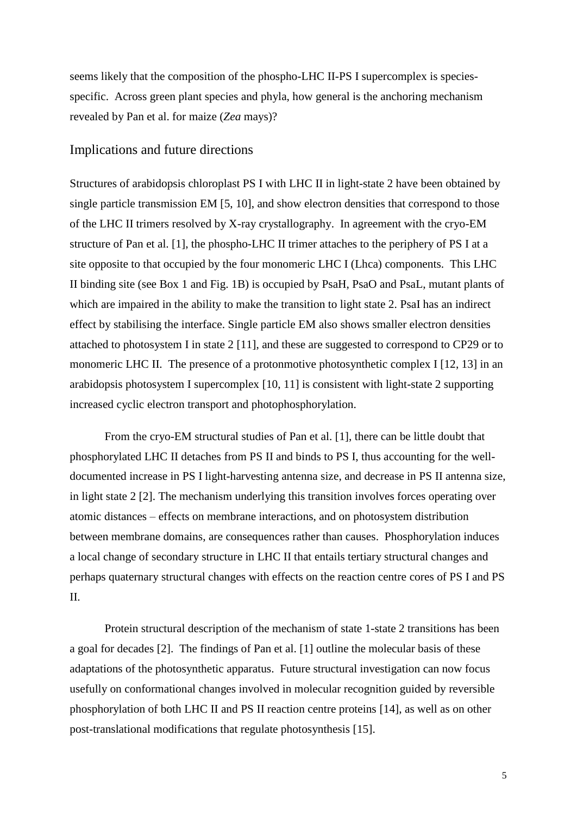seems likely that the composition of the phospho-LHC II-PS I supercomplex is speciesspecific. Across green plant species and phyla, how general is the anchoring mechanism revealed by Pan et al. for maize (*Zea* mays)?

#### Implications and future directions

Structures of arabidopsis chloroplast PS I with LHC II in light-state 2 have been obtained by single particle transmission EM [\[5,](#page-5-4) [10\]](#page-5-9), and show electron densities that correspond to those of the LHC II trimers resolved by X-ray crystallography. In agreement with the cryo-EM structure of Pan et al. [\[1\]](#page-5-0), the phospho-LHC II trimer attaches to the periphery of PS I at a site opposite to that occupied by the four monomeric LHC I (Lhca) components. This LHC II binding site (see Box 1 and Fig. 1B) is occupied by PsaH, PsaO and PsaL, mutant plants of which are impaired in the ability to make the transition to light state 2. PsaI has an indirect effect by stabilising the interface. Single particle EM also shows smaller electron densities attached to photosystem I in state 2 [11], and these are suggested to correspond to CP29 or to monomeric LHC II. The presence of a protonmotive photosynthetic complex I [\[12,](#page-6-0) [13\]](#page-6-1) in an arabidopsis photosystem I supercomplex [\[10,](#page-5-9) 11] is consistent with light-state 2 supporting increased cyclic electron transport and photophosphorylation.

From the cryo-EM structural studies of Pan et al. [\[1\]](#page-5-0), there can be little doubt that phosphorylated LHC II detaches from PS II and binds to PS I, thus accounting for the welldocumented increase in PS I light-harvesting antenna size, and decrease in PS II antenna size, in light state 2 [\[2\]](#page-5-1). The mechanism underlying this transition involves forces operating over atomic distances – effects on membrane interactions, and on photosystem distribution between membrane domains, are consequences rather than causes. Phosphorylation induces a local change of secondary structure in LHC II that entails tertiary structural changes and perhaps quaternary structural changes with effects on the reaction centre cores of PS I and PS II.

Protein structural description of the mechanism of state 1-state 2 transitions has been a goal for decades [\[2\]](#page-5-1). The findings of Pan et al. [\[1\]](#page-5-0) outline the molecular basis of these adaptations of the photosynthetic apparatus. Future structural investigation can now focus usefully on conformational changes involved in molecular recognition guided by reversible phosphorylation of both LHC II and PS II reaction centre proteins [\[14\]](#page-6-2), as well as on other post-translational modifications that regulate photosynthesis [\[15\]](#page-6-3).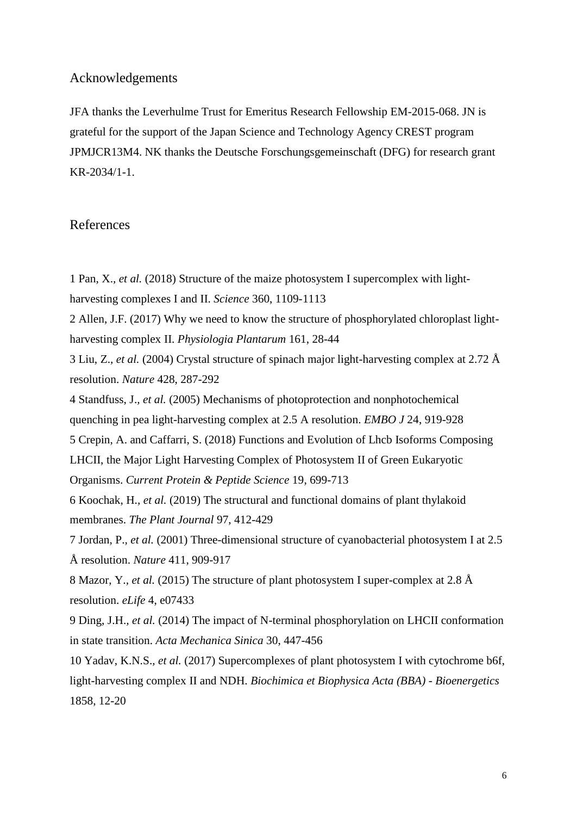#### Acknowledgements

JFA thanks the Leverhulme Trust for Emeritus Research Fellowship EM-2015-068. JN is grateful for the support of the Japan Science and Technology Agency CREST program JPMJCR13M4. NK thanks the Deutsche Forschungsgemeinschaft (DFG) for research grant KR-2034/1-1.

## References

<span id="page-5-0"></span>1 Pan, X.*, et al.* (2018) Structure of the maize photosystem I supercomplex with light-

harvesting complexes I and II. *Science* 360, 1109-1113

<span id="page-5-1"></span>2 Allen, J.F. (2017) Why we need to know the structure of phosphorylated chloroplast lightharvesting complex II. *Physiologia Plantarum* 161, 28-44

<span id="page-5-2"></span>3 Liu, Z.*, et al.* (2004) Crystal structure of spinach major light-harvesting complex at 2.72 Å resolution. *Nature* 428, 287-292

<span id="page-5-3"></span>4 Standfuss, J.*, et al.* (2005) Mechanisms of photoprotection and nonphotochemical quenching in pea light-harvesting complex at 2.5 A resolution. *EMBO J* 24, 919-928

<span id="page-5-4"></span>5 Crepin, A. and Caffarri, S. (2018) Functions and Evolution of Lhcb Isoforms Composing

LHCII, the Major Light Harvesting Complex of Photosystem II of Green Eukaryotic Organisms. *Current Protein & Peptide Science* 19, 699-713

<span id="page-5-5"></span>6 Koochak, H.*, et al.* (2019) The structural and functional domains of plant thylakoid membranes. *The Plant Journal* 97, 412-429

<span id="page-5-6"></span>7 Jordan, P.*, et al.* (2001) Three-dimensional structure of cyanobacterial photosystem I at 2.5 Å resolution. *Nature* 411, 909-917

<span id="page-5-7"></span>8 Mazor, Y.*, et al.* (2015) The structure of plant photosystem I super-complex at 2.8 Å resolution. *eLife* 4, e07433

<span id="page-5-8"></span>9 Ding, J.H.*, et al.* (2014) The impact of N-terminal phosphorylation on LHCII conformation in state transition. *Acta Mechanica Sinica* 30, 447-456

<span id="page-5-9"></span>10 Yadav, K.N.S.*, et al.* (2017) Supercomplexes of plant photosystem I with cytochrome b6f, light-harvesting complex II and NDH. *Biochimica et Biophysica Acta (BBA) - Bioenergetics* 1858, 12-20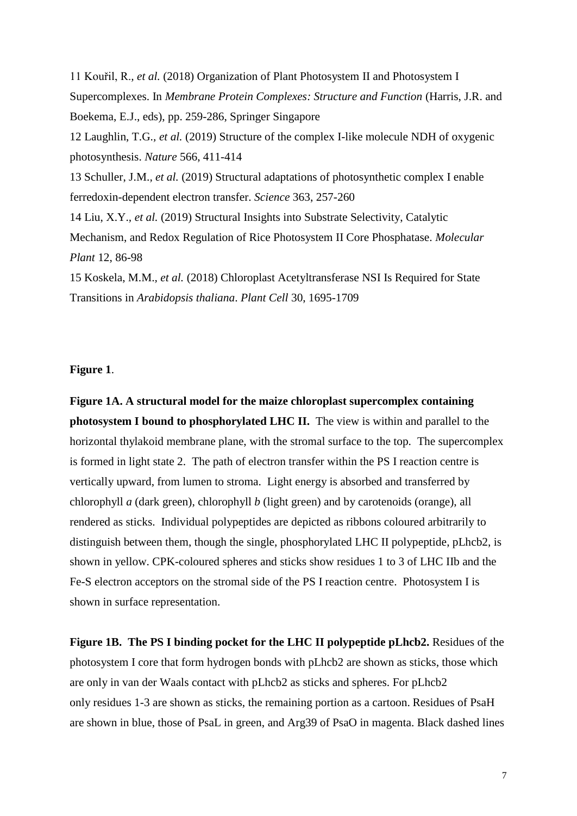<span id="page-6-2"></span><span id="page-6-1"></span><span id="page-6-0"></span>11 Kouřil, R.*, et al.* (2018) Organization of Plant Photosystem II and Photosystem I Supercomplexes. In *Membrane Protein Complexes: Structure and Function* (Harris, J.R. and Boekema, E.J., eds), pp. 259-286, Springer Singapore 12 Laughlin, T.G.*, et al.* (2019) Structure of the complex I-like molecule NDH of oxygenic photosynthesis. *Nature* 566, 411-414 13 Schuller, J.M.*, et al.* (2019) Structural adaptations of photosynthetic complex I enable ferredoxin-dependent electron transfer. *Science* 363, 257-260 14 Liu, X.Y.*, et al.* (2019) Structural Insights into Substrate Selectivity, Catalytic Mechanism, and Redox Regulation of Rice Photosystem II Core Phosphatase. *Molecular Plant* 12, 86-98 15 Koskela, M.M.*, et al.* (2018) Chloroplast Acetyltransferase NSI Is Required for State Transitions in *Arabidopsis thaliana*. *Plant Cell* 30, 1695-1709

#### <span id="page-6-3"></span>**Figure 1**.

**Figure 1A. A structural model for the maize chloroplast supercomplex containing photosystem I bound to phosphorylated LHC II.** The view is within and parallel to the horizontal thylakoid membrane plane, with the stromal surface to the top. The supercomplex is formed in light state 2. The path of electron transfer within the PS I reaction centre is vertically upward, from lumen to stroma. Light energy is absorbed and transferred by chlorophyll *a* (dark green), chlorophyll *b* (light green) and by carotenoids (orange), all rendered as sticks. Individual polypeptides are depicted as ribbons coloured arbitrarily to distinguish between them, though the single, phosphorylated LHC II polypeptide, pLhcb2, is shown in yellow. CPK-coloured spheres and sticks show residues 1 to 3 of LHC IIb and the Fe-S electron acceptors on the stromal side of the PS I reaction centre. Photosystem I is shown in surface representation.

**Figure 1B. The PS I binding pocket for the LHC II polypeptide pLhcb2.** Residues of the photosystem I core that form hydrogen bonds with pLhcb2 are shown as sticks, those which are only in van der Waals contact with pLhcb2 as sticks and spheres. For pLhcb2 only residues 1-3 are shown as sticks, the remaining portion as a cartoon. Residues of PsaH are shown in blue, those of PsaL in green, and Arg39 of PsaO in magenta. Black dashed lines